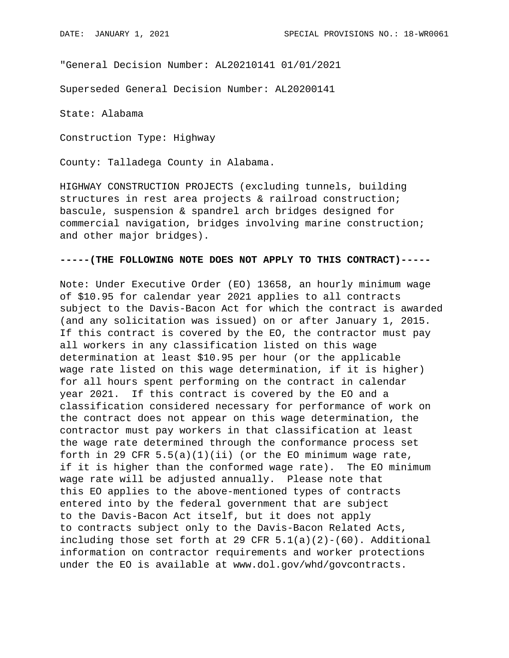"General Decision Number: AL20210141 01/01/2021

Superseded General Decision Number: AL20200141

State: Alabama

Construction Type: Highway

County: Talladega County in Alabama.

HIGHWAY CONSTRUCTION PROJECTS (excluding tunnels, building structures in rest area projects & railroad construction; bascule, suspension & spandrel arch bridges designed for commercial navigation, bridges involving marine construction; and other major bridges).

#### **-----(THE FOLLOWING NOTE DOES NOT APPLY TO THIS CONTRACT)-----**

Note: Under Executive Order (EO) 13658, an hourly minimum wage of \$10.95 for calendar year 2021 applies to all contracts subject to the Davis-Bacon Act for which the contract is awarded (and any solicitation was issued) on or after January 1, 2015. If this contract is covered by the EO, the contractor must pay all workers in any classification listed on this wage determination at least \$10.95 per hour (or the applicable wage rate listed on this wage determination, if it is higher) for all hours spent performing on the contract in calendar year 2021. If this contract is covered by the EO and a classification considered necessary for performance of work on the contract does not appear on this wage determination, the contractor must pay workers in that classification at least the wage rate determined through the conformance process set forth in 29 CFR  $5.5(a)(1)(ii)$  (or the EO minimum wage rate, if it is higher than the conformed wage rate). The EO minimum wage rate will be adjusted annually. Please note that this EO applies to the above-mentioned types of contracts entered into by the federal government that are subject to the Davis-Bacon Act itself, but it does not apply to contracts subject only to the Davis-Bacon Related Acts, including those set forth at 29 CFR  $5.1(a)(2)-(60)$ . Additional information on contractor requirements and worker protections under the EO is available at www.dol.gov/whd/govcontracts.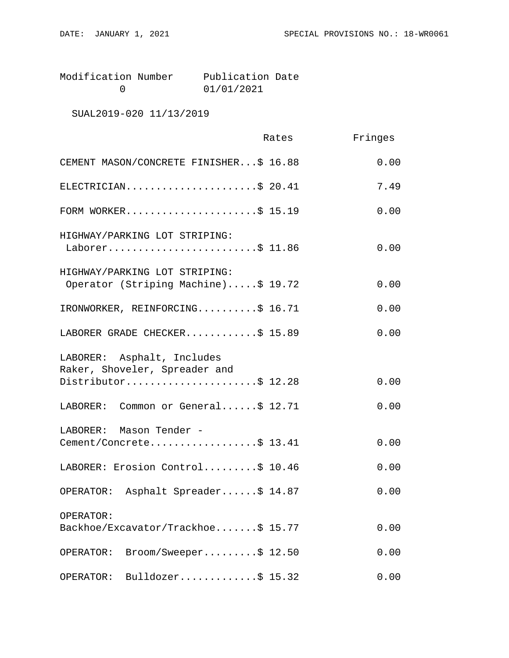| Modification Number | Publication Date |  |
|---------------------|------------------|--|
|                     | 01/01/2021       |  |

# SUAL2019-020 11/13/2019

|                                                                                    | Rates | Fringes |
|------------------------------------------------------------------------------------|-------|---------|
| CEMENT MASON/CONCRETE FINISHER\$ 16.88                                             |       | 0.00    |
| ELECTRICIAN\$ 20.41                                                                |       | 7.49    |
| FORM WORKER\$ 15.19                                                                |       | 0.00    |
| HIGHWAY/PARKING LOT STRIPING:<br>Laborer\$ 11.86                                   |       | 0.00    |
| HIGHWAY/PARKING LOT STRIPING:<br>Operator (Striping Machine)\$ 19.72               |       | 0.00    |
| IRONWORKER, REINFORCING\$ 16.71                                                    |       | 0.00    |
| LABORER GRADE CHECKER\$ 15.89                                                      |       | 0.00    |
| LABORER: Asphalt, Includes<br>Raker, Shoveler, Spreader and<br>Distributor\$ 12.28 |       | 0.00    |
| LABORER: Common or General\$ 12.71                                                 |       | 0.00    |
| LABORER: Mason Tender -<br>Cement/Concrete\$ 13.41                                 |       | 0.00    |
| LABORER: Erosion Control\$ 10.46                                                   |       | 0.00    |
| OPERATOR: Asphalt Spreader\$ 14.87                                                 |       | 0.00    |
| OPERATOR:<br>Backhoe/Excavator/Trackhoe\$ 15.77                                    |       | 0.00    |
| Broom/Sweeper\$ 12.50<br>OPERATOR:                                                 |       | 0.00    |
| Bulldozer\$ $15.32$<br>OPERATOR:                                                   |       | 0.00    |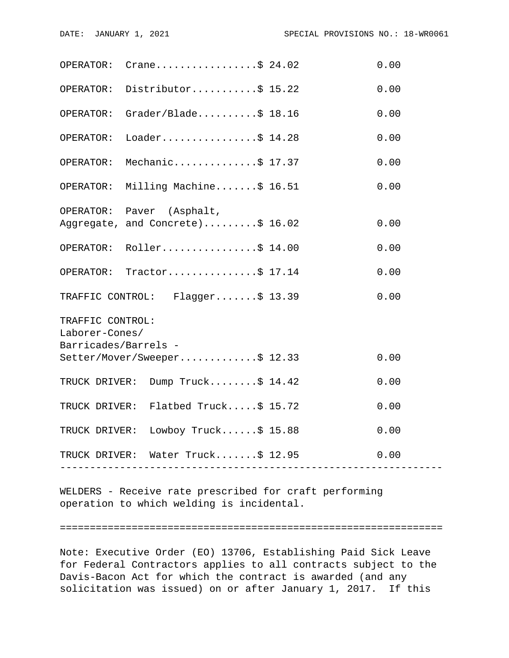|                                        | OPERATOR: $Crane \ldots  \ldots$ \$ 24.02                                 |                          | 0.00 |  |  |
|----------------------------------------|---------------------------------------------------------------------------|--------------------------|------|--|--|
|                                        | OPERATOR: Distributor\$ 15.22                                             |                          | 0.00 |  |  |
|                                        | OPERATOR: Grader/Blade\$ 18.16                                            |                          | 0.00 |  |  |
| OPERATOR:                              | Loader\$ $14.28$                                                          |                          | 0.00 |  |  |
| OPERATOR:                              | Mechanic\$ 17.37                                                          |                          | 0.00 |  |  |
|                                        | OPERATOR: Milling Machine\$ 16.51                                         |                          | 0.00 |  |  |
|                                        | OPERATOR: Paver (Asphalt,                                                 |                          |      |  |  |
|                                        | Aggregate, and Concrete)\$ 16.02                                          |                          | 0.00 |  |  |
|                                        | OPERATOR: Roller\$ 14.00                                                  |                          | 0.00 |  |  |
|                                        | OPERATOR: Tractor\$ 17.14                                                 |                          | 0.00 |  |  |
|                                        | TRAFFIC CONTROL: Flagger\$ 13.39                                          |                          | 0.00 |  |  |
| TRAFFIC CONTROL:                       |                                                                           |                          |      |  |  |
| Laborer-Cones/<br>Barricades/Barrels - |                                                                           |                          |      |  |  |
|                                        | Setter/Mover/Sweeper\$ 12.33                                              |                          | 0.00 |  |  |
|                                        | TRUCK DRIVER: Dump Truck\$ 14.42                                          |                          | 0.00 |  |  |
|                                        | TRUCK DRIVER: Flatbed Truck\$ 15.72                                       |                          | 0.00 |  |  |
|                                        | TRUCK DRIVER: Lowboy Truck\$ 15.88                                        |                          | 0.00 |  |  |
|                                        | TRUCK DRIVER: Water Truck\$ 12.95<br>------------------------------------ | ------------------------ | 0.00 |  |  |
|                                        |                                                                           |                          |      |  |  |

WELDERS - Receive rate prescribed for craft performing operation to which welding is incidental.

#### ================================================================

Note: Executive Order (EO) 13706, Establishing Paid Sick Leave for Federal Contractors applies to all contracts subject to the Davis-Bacon Act for which the contract is awarded (and any solicitation was issued) on or after January 1, 2017. If this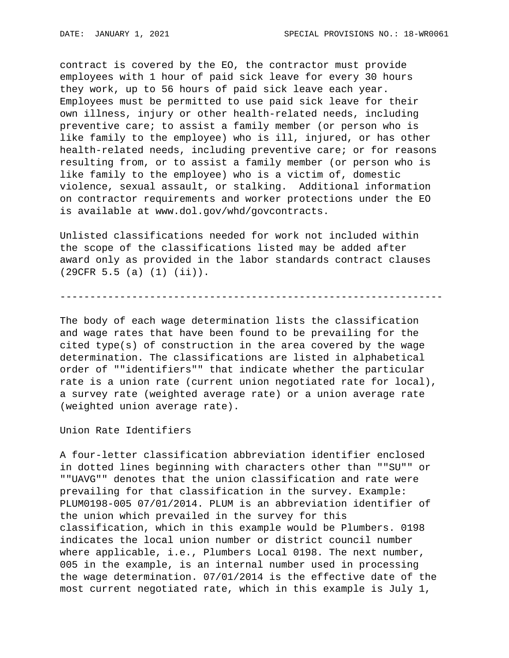contract is covered by the EO, the contractor must provide employees with 1 hour of paid sick leave for every 30 hours they work, up to 56 hours of paid sick leave each year. Employees must be permitted to use paid sick leave for their own illness, injury or other health-related needs, including preventive care; to assist a family member (or person who is like family to the employee) who is ill, injured, or has other health-related needs, including preventive care; or for reasons resulting from, or to assist a family member (or person who is like family to the employee) who is a victim of, domestic violence, sexual assault, or stalking. Additional information on contractor requirements and worker protections under the EO is available at www.dol.gov/whd/govcontracts.

Unlisted classifications needed for work not included within the scope of the classifications listed may be added after award only as provided in the labor standards contract clauses (29CFR 5.5 (a) (1) (ii)).

----------------------------------------------------------------

The body of each wage determination lists the classification and wage rates that have been found to be prevailing for the cited type(s) of construction in the area covered by the wage determination. The classifications are listed in alphabetical order of ""identifiers"" that indicate whether the particular rate is a union rate (current union negotiated rate for local), a survey rate (weighted average rate) or a union average rate (weighted union average rate).

Union Rate Identifiers

A four-letter classification abbreviation identifier enclosed in dotted lines beginning with characters other than ""SU"" or ""UAVG"" denotes that the union classification and rate were prevailing for that classification in the survey. Example: PLUM0198-005 07/01/2014. PLUM is an abbreviation identifier of the union which prevailed in the survey for this classification, which in this example would be Plumbers. 0198 indicates the local union number or district council number where applicable, i.e., Plumbers Local 0198. The next number, 005 in the example, is an internal number used in processing the wage determination. 07/01/2014 is the effective date of the most current negotiated rate, which in this example is July 1,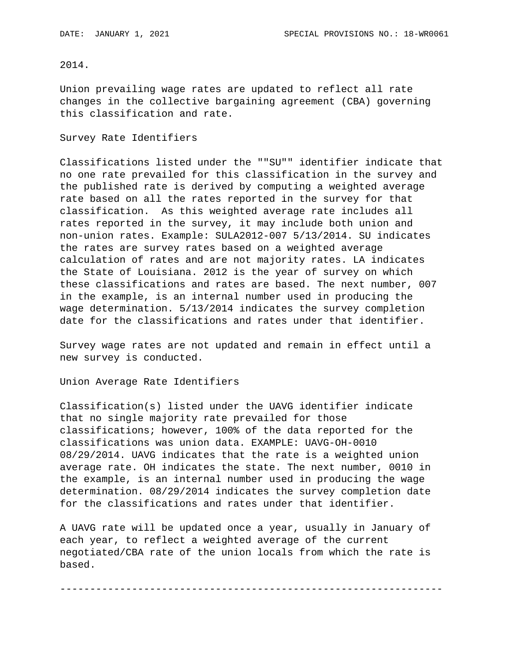## 2014.

Union prevailing wage rates are updated to reflect all rate changes in the collective bargaining agreement (CBA) governing this classification and rate.

#### Survey Rate Identifiers

Classifications listed under the ""SU"" identifier indicate that no one rate prevailed for this classification in the survey and the published rate is derived by computing a weighted average rate based on all the rates reported in the survey for that classification. As this weighted average rate includes all rates reported in the survey, it may include both union and non-union rates. Example: SULA2012-007 5/13/2014. SU indicates the rates are survey rates based on a weighted average calculation of rates and are not majority rates. LA indicates the State of Louisiana. 2012 is the year of survey on which these classifications and rates are based. The next number, 007 in the example, is an internal number used in producing the wage determination. 5/13/2014 indicates the survey completion date for the classifications and rates under that identifier.

Survey wage rates are not updated and remain in effect until a new survey is conducted.

Union Average Rate Identifiers

Classification(s) listed under the UAVG identifier indicate that no single majority rate prevailed for those classifications; however, 100% of the data reported for the classifications was union data. EXAMPLE: UAVG-OH-0010 08/29/2014. UAVG indicates that the rate is a weighted union average rate. OH indicates the state. The next number, 0010 in the example, is an internal number used in producing the wage determination. 08/29/2014 indicates the survey completion date for the classifications and rates under that identifier.

A UAVG rate will be updated once a year, usually in January of each year, to reflect a weighted average of the current negotiated/CBA rate of the union locals from which the rate is based.

----------------------------------------------------------------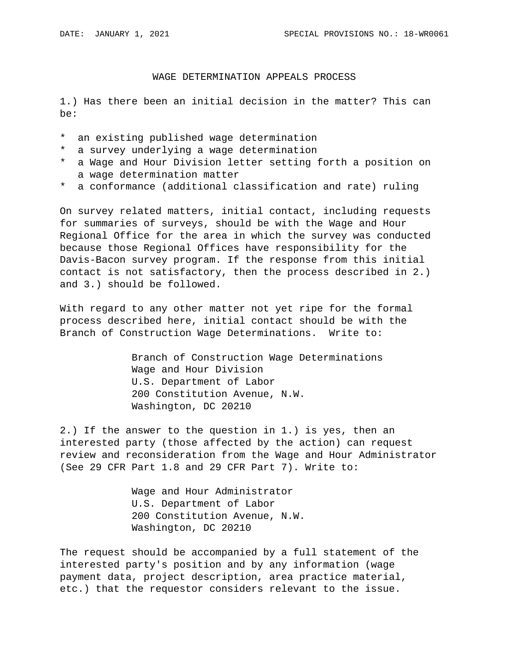## WAGE DETERMINATION APPEALS PROCESS

1.) Has there been an initial decision in the matter? This can be:

- \* an existing published wage determination
- \* a survey underlying a wage determination
- \* a Wage and Hour Division letter setting forth a position on a wage determination matter
- \* a conformance (additional classification and rate) ruling

On survey related matters, initial contact, including requests for summaries of surveys, should be with the Wage and Hour Regional Office for the area in which the survey was conducted because those Regional Offices have responsibility for the Davis-Bacon survey program. If the response from this initial contact is not satisfactory, then the process described in 2.) and 3.) should be followed.

With regard to any other matter not yet ripe for the formal process described here, initial contact should be with the Branch of Construction Wage Determinations. Write to:

> Branch of Construction Wage Determinations Wage and Hour Division U.S. Department of Labor 200 Constitution Avenue, N.W. Washington, DC 20210

2.) If the answer to the question in 1.) is yes, then an interested party (those affected by the action) can request review and reconsideration from the Wage and Hour Administrator (See 29 CFR Part 1.8 and 29 CFR Part 7). Write to:

> Wage and Hour Administrator U.S. Department of Labor 200 Constitution Avenue, N.W. Washington, DC 20210

The request should be accompanied by a full statement of the interested party's position and by any information (wage payment data, project description, area practice material, etc.) that the requestor considers relevant to the issue.